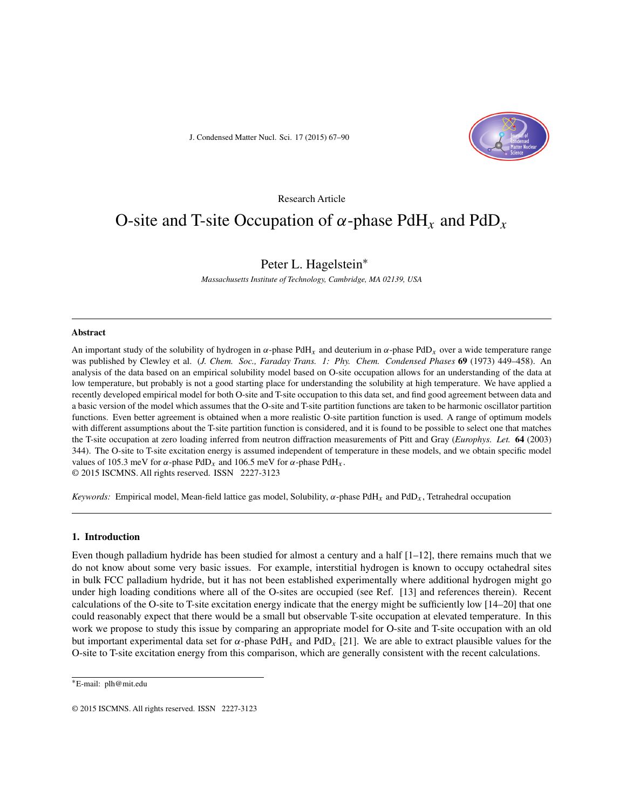J. Condensed Matter Nucl. Sci. 17 (2015) 67–90



# Research Article

# O-site and T-site Occupation of  $\alpha$ -phase PdH<sub>x</sub> and PdD<sub>x</sub>

# Peter L. Hagelstein∗

*Massachusetts Institute of Technology, Cambridge, MA 02139, USA*

#### **Abstract**

An important study of the solubility of hydrogen in  $\alpha$ -phase PdH<sub>x</sub> and deuterium in  $\alpha$ -phase PdD<sub>x</sub> over a wide temperature range was published by Clewley et al. (*J. Chem. Soc., Faraday Trans. 1: Phy. Chem. Condensed Phases* **69** (1973) 449–458). An analysis of the data based on an empirical solubility model based on O-site occupation allows for an understanding of the data at low temperature, but probably is not a good starting place for understanding the solubility at high temperature. We have applied a recently developed empirical model for both O-site and T-site occupation to this data set, and find good agreement between data and a basic version of the model which assumes that the O-site and T-site partition functions are taken to be harmonic oscillator partition functions. Even better agreement is obtained when a more realistic O-site partition function is used. A range of optimum models with different assumptions about the T-site partition function is considered, and it is found to be possible to select one that matches the T-site occupation at zero loading inferred from neutron diffraction measurements of Pitt and Gray (*Europhys. Let.* **64** (2003) 344). The O-site to T-site excitation energy is assumed independent of temperature in these models, and we obtain specific model values of 105.3 meV for α-phase PdD<sub>x</sub> and 106.5 meV for α-phase PdH<sub>x</sub>. © 2015 ISCMNS. All rights reserved. ISSN 2227-3123

*Keywords:* Empirical model, Mean-field lattice gas model, Solubility,  $\alpha$ -phase PdH<sub>x</sub> and PdD<sub>x</sub>, Tetrahedral occupation

#### **1. Introduction**

Even though palladium hydride has been studied for almost a century and a half  $[1-12]$ , there remains much that we do not know about some very basic issues. For example, interstitial hydrogen is known to occupy octahedral sites in bulk FCC palladium hydride, but it has not been established experimentally where additional hydrogen might go under high loading conditions where all of the O-sites are occupied (see Ref. [13] and references therein). Recent calculations of the O-site to T-site excitation energy indicate that the energy might be sufficiently low [14–20] that one could reasonably expect that there would be a small but observable T-site occupation at elevated temperature. In this work we propose to study this issue by comparing an appropriate model for O-site and T-site occupation with an old but important experimental data set for  $\alpha$ -phase PdH<sub>x</sub> and PdD<sub>x</sub> [21]. We are able to extract plausible values for the O-site to T-site excitation energy from this comparison, which are generally consistent with the recent calculations.

<sup>∗</sup>E-mail: plh@mit.edu

<sup>© 2015</sup> ISCMNS. All rights reserved. ISSN 2227-3123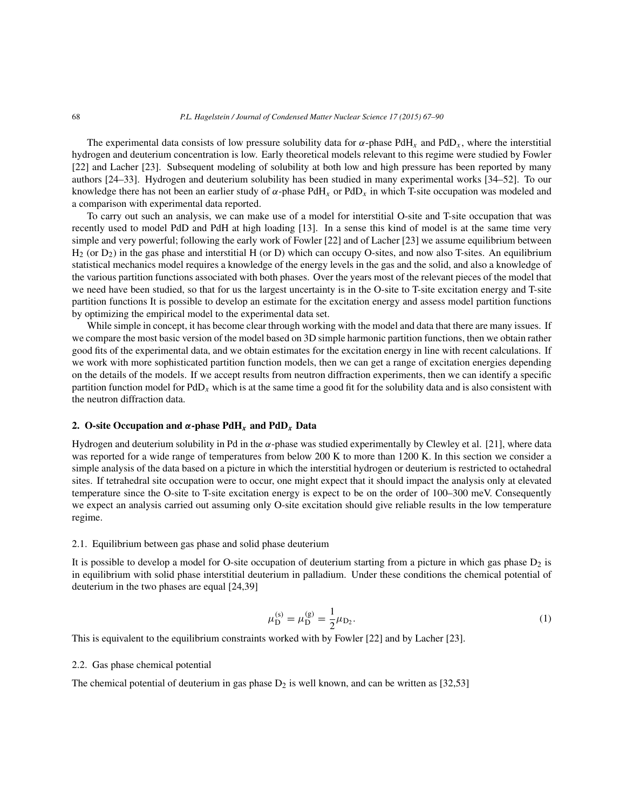The experimental data consists of low pressure solubility data for  $\alpha$ -phase PdH<sub>x</sub> and PdD<sub>x</sub>, where the interstitial hydrogen and deuterium concentration is low. Early theoretical models relevant to this regime were studied by Fowler [22] and Lacher [23]. Subsequent modeling of solubility at both low and high pressure has been reported by many authors [24–33]. Hydrogen and deuterium solubility has been studied in many experimental works [34–52]. To our knowledge there has not been an earlier study of  $\alpha$ -phase PdH<sub>x</sub> or PdD<sub>x</sub> in which T-site occupation was modeled and a comparison with experimental data reported.

To carry out such an analysis, we can make use of a model for interstitial O-site and T-site occupation that was recently used to model PdD and PdH at high loading [13]. In a sense this kind of model is at the same time very simple and very powerful; following the early work of Fowler [22] and of Lacher [23] we assume equilibrium between  $H_2$  (or  $D_2$ ) in the gas phase and interstitial H (or D) which can occupy O-sites, and now also T-sites. An equilibrium statistical mechanics model requires a knowledge of the energy levels in the gas and the solid, and also a knowledge of the various partition functions associated with both phases. Over the years most of the relevant pieces of the model that we need have been studied, so that for us the largest uncertainty is in the O-site to T-site excitation energy and T-site partition functions It is possible to develop an estimate for the excitation energy and assess model partition functions by optimizing the empirical model to the experimental data set.

While simple in concept, it has become clear through working with the model and data that there are many issues. If we compare the most basic version of the model based on 3D simple harmonic partition functions, then we obtain rather good fits of the experimental data, and we obtain estimates for the excitation energy in line with recent calculations. If we work with more sophisticated partition function models, then we can get a range of excitation energies depending on the details of the models. If we accept results from neutron diffraction experiments, then we can identify a specific partition function model for  $PdD_x$  which is at the same time a good fit for the solubility data and is also consistent with the neutron diffraction data.

#### **2.** O-site Occupation and  $\alpha$ -phase PdH<sub>x</sub> and PdD<sub>x</sub> Data

Hydrogen and deuterium solubility in Pd in the  $\alpha$ -phase was studied experimentally by Clewley et al. [21], where data was reported for a wide range of temperatures from below 200 K to more than 1200 K. In this section we consider a simple analysis of the data based on a picture in which the interstitial hydrogen or deuterium is restricted to octahedral sites. If tetrahedral site occupation were to occur, one might expect that it should impact the analysis only at elevated temperature since the O-site to T-site excitation energy is expect to be on the order of 100–300 meV. Consequently we expect an analysis carried out assuming only O-site excitation should give reliable results in the low temperature regime.

### 2.1. Equilibrium between gas phase and solid phase deuterium

It is possible to develop a model for O-site occupation of deuterium starting from a picture in which gas phase  $D_2$  is in equilibrium with solid phase interstitial deuterium in palladium. Under these conditions the chemical potential of deuterium in the two phases are equal [24,39]

$$
\mu_{\mathcal{D}}^{(s)} = \mu_{\mathcal{D}}^{(g)} = \frac{1}{2}\mu_{\mathcal{D}_2}.\tag{1}
$$

This is equivalent to the equilibrium constraints worked with by Fowler [22] and by Lacher [23].

#### 2.2. Gas phase chemical potential

The chemical potential of deuterium in gas phase  $D_2$  is well known, and can be written as [32,53]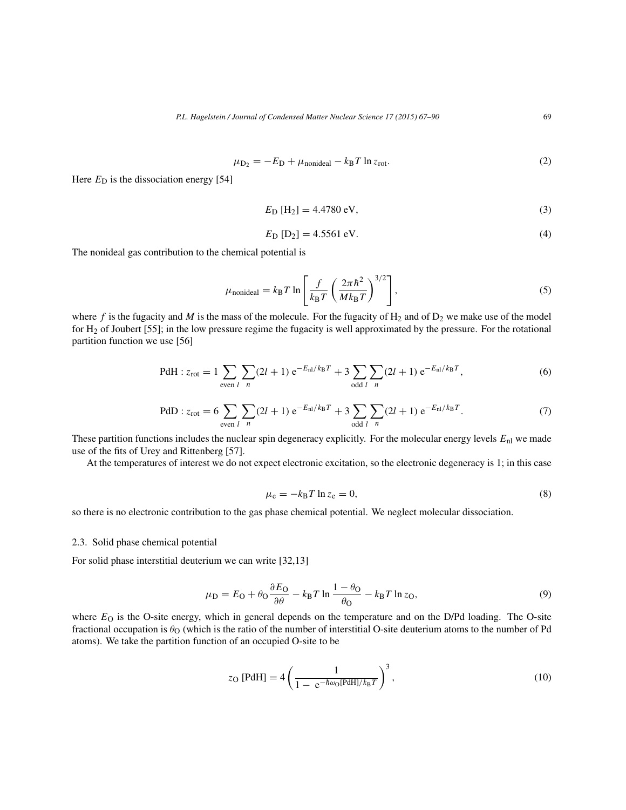$$
\mu_{\text{D}_2} = -E_{\text{D}} + \mu_{\text{nonideal}} - k_{\text{B}} T \ln z_{\text{rot}}.
$$
\n(2)

Here  $E_D$  is the dissociation energy [54]

$$
E_{\rm D} \,\rm [H_2] = 4.4780 \,\rm eV,\tag{3}
$$

$$
E_{\text{D}} [D_2] = 4.5561 \text{ eV}.
$$
 (4)

The nonideal gas contribution to the chemical potential is

$$
\mu_{\text{nonideal}} = k_{\text{B}} T \ln \left[ \frac{f}{k_{\text{B}} T} \left( \frac{2\pi \hbar^2}{M k_{\text{B}} T} \right)^{3/2} \right],\tag{5}
$$

where f is the fugacity and M is the mass of the molecule. For the fugacity of  $H_2$  and of  $D_2$  we make use of the model for H2 of Joubert [55]; in the low pressure regime the fugacity is well approximated by the pressure. For the rotational partition function we use [56]

PdH: 
$$
z_{\text{rot}} = 1 \sum_{\text{even } l} \sum_{n} (2l+1) e^{-E_{\text{nl}}/k_{\text{B}}T} + 3 \sum_{\text{odd } l} \sum_{n} (2l+1) e^{-E_{\text{nl}}/k_{\text{B}}T}
$$
, (6)

PdD: 
$$
z_{\text{rot}} = 6 \sum_{\text{even } l} \sum_{n} (2l+1) e^{-E_{\text{nl}}/k_{\text{B}}T} + 3 \sum_{\text{odd } l} \sum_{n} (2l+1) e^{-E_{\text{nl}}/k_{\text{B}}T}.
$$
 (7)

These partition functions includes the nuclear spin degeneracy explicitly. For the molecular energy levels  $E_{nl}$  we made use of the fits of Urey and Rittenberg [57].

At the temperatures of interest we do not expect electronic excitation, so the electronic degeneracy is 1; in this case

$$
\mu_{\rm e} = -k_{\rm B} T \ln z_{\rm e} = 0,\tag{8}
$$

so there is no electronic contribution to the gas phase chemical potential. We neglect molecular dissociation.

#### 2.3. Solid phase chemical potential

For solid phase interstitial deuterium we can write [32,13]

$$
\mu_{\rm D} = E_{\rm O} + \theta_{\rm O} \frac{\partial E_{\rm O}}{\partial \theta} - k_{\rm B} T \ln \frac{1 - \theta_{\rm O}}{\theta_{\rm O}} - k_{\rm B} T \ln z_{\rm O},\tag{9}
$$

where  $E<sub>O</sub>$  is the O-site energy, which in general depends on the temperature and on the D/Pd loading. The O-site fractional occupation is  $\theta_{\rm O}$  (which is the ratio of the number of interstitial O-site deuterium atoms to the number of Pd atoms). We take the partition function of an occupied O-site to be

$$
z_{\rm O} \text{ [PdH]} = 4 \left( \frac{1}{1 - e^{-\hbar \omega_{\rm O} [\text{PdH}]/k_{\rm B} T}} \right)^3, \tag{10}
$$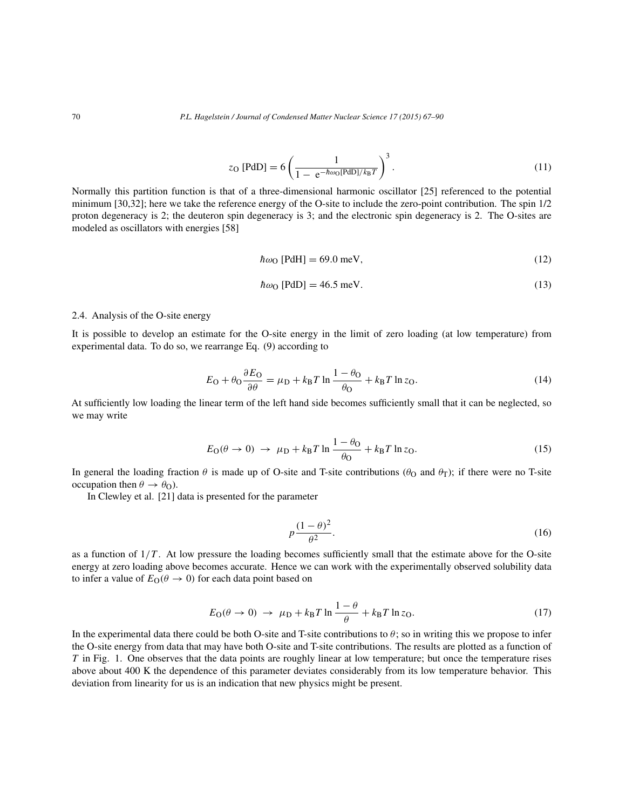$$
z_{\rm O} \text{ [PdD]} = 6 \left( \frac{1}{1 - e^{-\hbar \omega_{\rm O} \text{ [PdD]}/k_{\rm B}T}} \right)^3. \tag{11}
$$

Normally this partition function is that of a three-dimensional harmonic oscillator [25] referenced to the potential minimum [30,32]; here we take the reference energy of the O-site to include the zero-point contribution. The spin 1/2 proton degeneracy is 2; the deuteron spin degeneracy is 3; and the electronic spin degeneracy is 2. The O-sites are modeled as oscillators with energies [58]

$$
\hbar\omega_0 \text{ [PdH]} = 69.0 \text{ meV},\tag{12}
$$

$$
\hbar\omega_0 \text{ [PdD]} = 46.5 \text{ meV.}
$$
\n(13)

# 2.4. Analysis of the O-site energy

It is possible to develop an estimate for the O-site energy in the limit of zero loading (at low temperature) from experimental data. To do so, we rearrange Eq. (9) according to

$$
E_{\rm O} + \theta_{\rm O} \frac{\partial E_{\rm O}}{\partial \theta} = \mu_{\rm D} + k_{\rm B} T \ln \frac{1 - \theta_{\rm O}}{\theta_{\rm O}} + k_{\rm B} T \ln z_{\rm O}.
$$
 (14)

At sufficiently low loading the linear term of the left hand side becomes sufficiently small that it can be neglected, so we may write

$$
E_{\rm O}(\theta \to 0) \to \mu_{\rm D} + k_{\rm B} T \ln \frac{1 - \theta_{\rm O}}{\theta_{\rm O}} + k_{\rm B} T \ln z_{\rm O}.
$$
 (15)

In general the loading fraction  $\theta$  is made up of O-site and T-site contributions ( $\theta$ <sub>O</sub> and  $\theta$ <sub>T</sub>); if there were no T-site occupation then  $\theta \rightarrow \theta_{\rm O}$ ).

In Clewley et al. [21] data is presented for the parameter

$$
p\frac{(1-\theta)^2}{\theta^2}.\tag{16}
$$

as a function of  $1/T$ . At low pressure the loading becomes sufficiently small that the estimate above for the O-site energy at zero loading above becomes accurate. Hence we can work with the experimentally observed solubility data to infer a value of  $E_{\text{O}}(\theta \rightarrow 0)$  for each data point based on

$$
E_{\rm O}(\theta \to 0) \to \mu_{\rm D} + k_{\rm B}T \ln \frac{1-\theta}{\theta} + k_{\rm B}T \ln z_{\rm O}.
$$
 (17)

In the experimental data there could be both O-site and T-site contributions to  $\theta$ ; so in writing this we propose to infer the O-site energy from data that may have both O-site and T-site contributions. The results are plotted as a function of T in Fig. 1. One observes that the data points are roughly linear at low temperature; but once the temperature rises above about 400 K the dependence of this parameter deviates considerably from its low temperature behavior. This deviation from linearity for us is an indication that new physics might be present.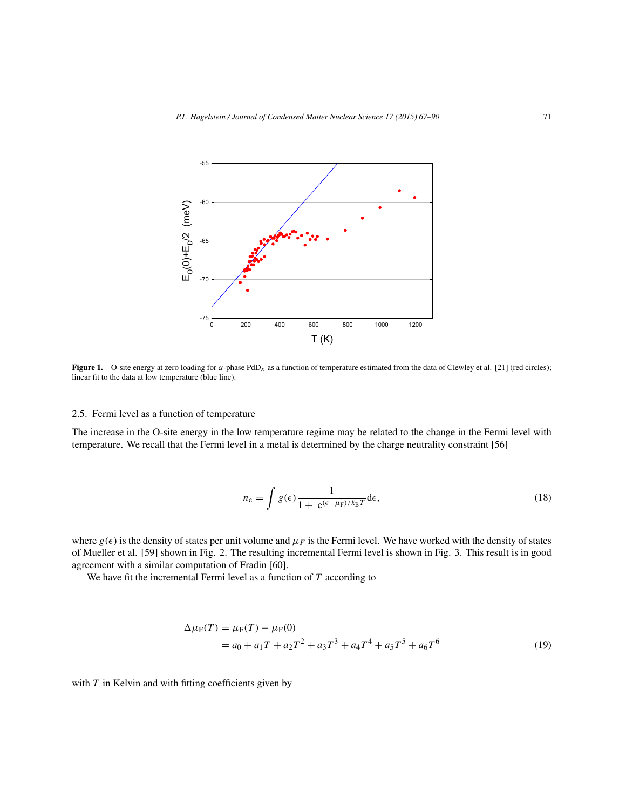

**Figure 1.** O-site energy at zero loading for α-phase PdD<sub>x</sub> as a function of temperature estimated from the data of Clewley et al. [21] (red circles); linear fit to the data at low temperature (blue line).

#### 2.5. Fermi level as a function of temperature

The increase in the O-site energy in the low temperature regime may be related to the change in the Fermi level with temperature. We recall that the Fermi level in a metal is determined by the charge neutrality constraint [56]

$$
n_{\rm e} = \int g(\epsilon) \frac{1}{1 + e^{(\epsilon - \mu_{\rm F})/k_{\rm B}T}} d\epsilon,\tag{18}
$$

where  $g(\epsilon)$  is the density of states per unit volume and  $\mu_F$  is the Fermi level. We have worked with the density of states of Mueller et al. [59] shown in Fig. 2. The resulting incremental Fermi level is shown in Fig. 3. This result is in good agreement with a similar computation of Fradin [60].

We have fit the incremental Fermi level as a function of  $T$  according to

$$
\Delta \mu_{\rm F}(T) = \mu_{\rm F}(T) - \mu_{\rm F}(0)
$$
  
=  $a_0 + a_1 T + a_2 T^2 + a_3 T^3 + a_4 T^4 + a_5 T^5 + a_6 T^6$  (19)

with  $T$  in Kelvin and with fitting coefficients given by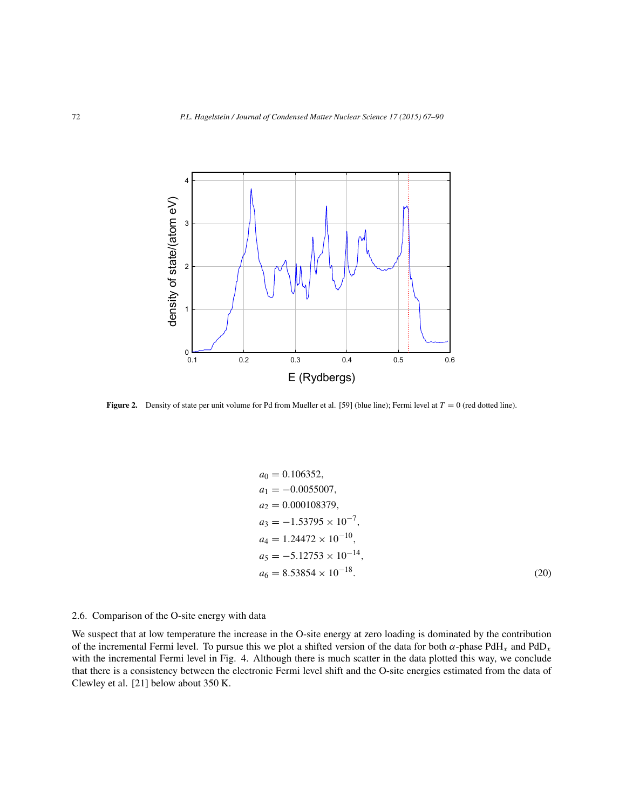

**Figure 2.** Density of state per unit volume for Pd from Mueller et al. [59] (blue line); Fermi level at  $T = 0$  (red dotted line).

$$
a_0 = 0.106352,
$$
  
\n
$$
a_1 = -0.0055007,
$$
  
\n
$$
a_2 = 0.000108379,
$$
  
\n
$$
a_3 = -1.53795 \times 10^{-7},
$$
  
\n
$$
a_4 = 1.24472 \times 10^{-10},
$$
  
\n
$$
a_5 = -5.12753 \times 10^{-14},
$$
  
\n
$$
a_6 = 8.53854 \times 10^{-18}.
$$
\n(20)

# 2.6. Comparison of the O-site energy with data

We suspect that at low temperature the increase in the O-site energy at zero loading is dominated by the contribution of the incremental Fermi level. To pursue this we plot a shifted version of the data for both  $\alpha$ -phase PdH<sub>x</sub> and PdD<sub>x</sub> with the incremental Fermi level in Fig. 4. Although there is much scatter in the data plotted this way, we conclude that there is a consistency between the electronic Fermi level shift and the O-site energies estimated from the data of Clewley et al. [21] below about 350 K.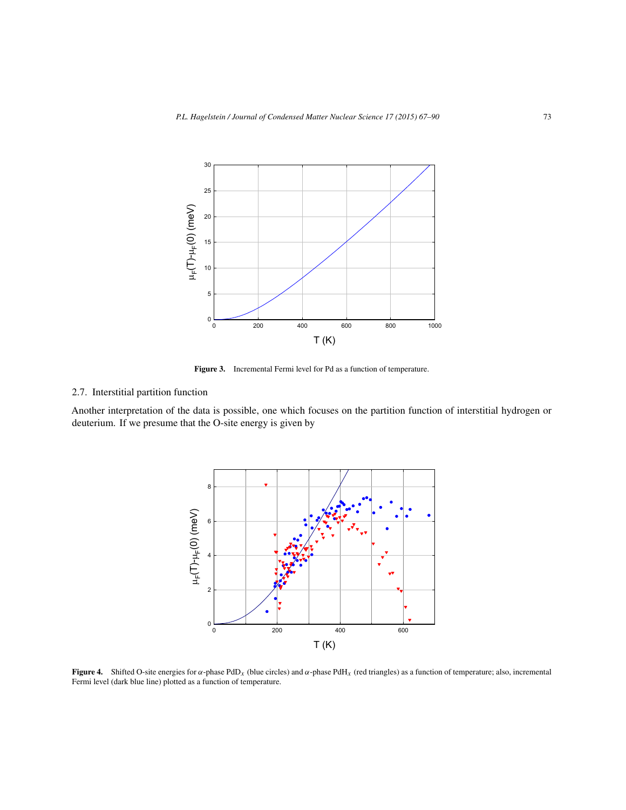

**Figure 3.** Incremental Fermi level for Pd as a function of temperature.

# 2.7. Interstitial partition function

Another interpretation of the data is possible, one which focuses on the partition function of interstitial hydrogen or deuterium. If we presume that the O-site energy is given by



**Figure 4.** Shifted O-site energies for  $\alpha$ -phase PdD<sub>x</sub> (blue circles) and  $\alpha$ -phase PdH<sub>x</sub> (red triangles) as a function of temperature; also, incremental Fermi level (dark blue line) plotted as a function of temperature.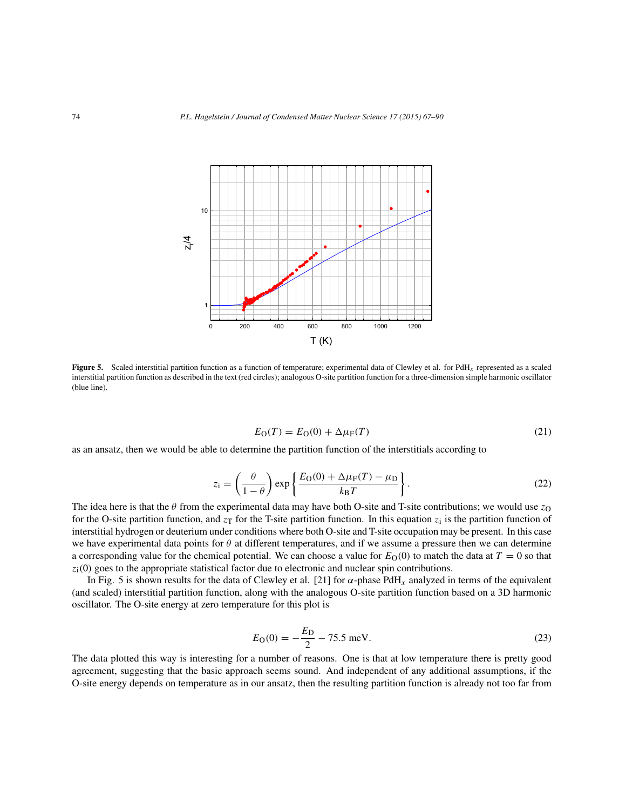

**Figure 5.** Scaled interstitial partition function as a function of temperature; experimental data of Clewley et al. for PdH<sub>x</sub> represented as a scaled interstitial partition function as described in the text (red circles); analogous O-site partition function for a three-dimension simple harmonic oscillator (blue line).

$$
E_{\rm O}(T) = E_{\rm O}(0) + \Delta \mu_{\rm F}(T) \tag{21}
$$

as an ansatz, then we would be able to determine the partition function of the interstitials according to

$$
z_{\rm i} = \left(\frac{\theta}{1-\theta}\right) \exp\left\{\frac{E_{\rm O}(0) + \Delta\mu_{\rm F}(T) - \mu_{\rm D}}{k_{\rm B}T}\right\}.
$$
 (22)

The idea here is that the  $\theta$  from the experimental data may have both O-site and T-site contributions; we would use  $z_0$ for the O-site partition function, and  $z_T$  for the T-site partition function. In this equation  $z_i$  is the partition function of interstitial hydrogen or deuterium under conditions where both O-site and T-site occupation may be present. In this case we have experimental data points for  $\theta$  at different temperatures, and if we assume a pressure then we can determine a corresponding value for the chemical potential. We can choose a value for  $E<sub>O</sub>(0)$  to match the data at  $T = 0$  so that  $z<sub>i</sub>(0)$  goes to the appropriate statistical factor due to electronic and nuclear spin contributions.

In Fig. 5 is shown results for the data of Clewley et al. [21] for  $\alpha$ -phase PdH<sub>x</sub> analyzed in terms of the equivalent (and scaled) interstitial partition function, along with the analogous O-site partition function based on a 3D harmonic oscillator. The O-site energy at zero temperature for this plot is

$$
E_{\rm O}(0) = -\frac{E_{\rm D}}{2} - 75.5 \,\text{meV}.\tag{23}
$$

The data plotted this way is interesting for a number of reasons. One is that at low temperature there is pretty good agreement, suggesting that the basic approach seems sound. And independent of any additional assumptions, if the O-site energy depends on temperature as in our ansatz, then the resulting partition function is already not too far from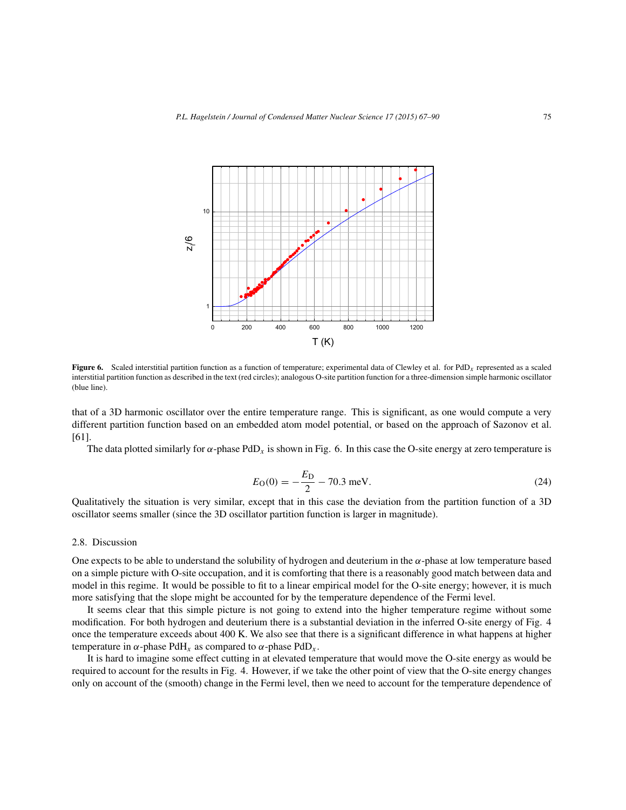

**Figure 6.** Scaled interstitial partition function as a function of temperature; experimental data of Clewley et al. for PdD<sub>x</sub> represented as a scaled interstitial partition function as described in the text (red circles); analogous O-site partition function for a three-dimension simple harmonic oscillator (blue line).

that of a 3D harmonic oscillator over the entire temperature range. This is significant, as one would compute a very different partition function based on an embedded atom model potential, or based on the approach of Sazonov et al. [61].

The data plotted similarly for  $\alpha$ -phase PdD<sub>x</sub> is shown in Fig. 6. In this case the O-site energy at zero temperature is

$$
E_{\rm O}(0) = -\frac{E_{\rm D}}{2} - 70.3 \text{ meV}.
$$
 (24)

Qualitatively the situation is very similar, except that in this case the deviation from the partition function of a 3D oscillator seems smaller (since the 3D oscillator partition function is larger in magnitude).

#### 2.8. Discussion

One expects to be able to understand the solubility of hydrogen and deuterium in the  $\alpha$ -phase at low temperature based on a simple picture with O-site occupation, and it is comforting that there is a reasonably good match between data and model in this regime. It would be possible to fit to a linear empirical model for the O-site energy; however, it is much more satisfying that the slope might be accounted for by the temperature dependence of the Fermi level.

It seems clear that this simple picture is not going to extend into the higher temperature regime without some modification. For both hydrogen and deuterium there is a substantial deviation in the inferred O-site energy of Fig. 4 once the temperature exceeds about 400 K. We also see that there is a significant difference in what happens at higher temperature in  $\alpha$ -phase PdH<sub>x</sub> as compared to  $\alpha$ -phase PdD<sub>x</sub>.

It is hard to imagine some effect cutting in at elevated temperature that would move the O-site energy as would be required to account for the results in Fig. 4. However, if we take the other point of view that the O-site energy changes only on account of the (smooth) change in the Fermi level, then we need to account for the temperature dependence of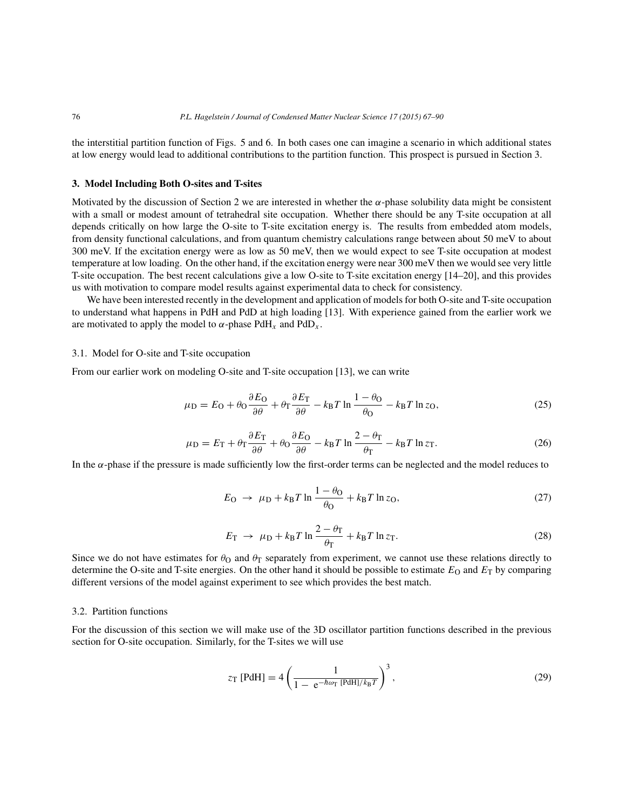the interstitial partition function of Figs. 5 and 6. In both cases one can imagine a scenario in which additional states at low energy would lead to additional contributions to the partition function. This prospect is pursued in Section 3.

#### **3. Model Including Both O-sites and T-sites**

Motivated by the discussion of Section 2 we are interested in whether the  $\alpha$ -phase solubility data might be consistent with a small or modest amount of tetrahedral site occupation. Whether there should be any T-site occupation at all depends critically on how large the O-site to T-site excitation energy is. The results from embedded atom models, from density functional calculations, and from quantum chemistry calculations range between about 50 meV to about 300 meV. If the excitation energy were as low as 50 meV, then we would expect to see T-site occupation at modest temperature at low loading. On the other hand, if the excitation energy were near 300 meV then we would see very little T-site occupation. The best recent calculations give a low O-site to T-site excitation energy [14–20], and this provides us with motivation to compare model results against experimental data to check for consistency.

We have been interested recently in the development and application of models for both O-site and T-site occupation to understand what happens in PdH and PdD at high loading [13]. With experience gained from the earlier work we are motivated to apply the model to  $\alpha$ -phase PdH<sub>x</sub> and PdD<sub>x</sub>.

#### 3.1. Model for O-site and T-site occupation

From our earlier work on modeling O-site and T-site occupation [13], we can write

$$
\mu_{\rm D} = E_{\rm O} + \theta_{\rm O} \frac{\partial E_{\rm O}}{\partial \theta} + \theta_{\rm T} \frac{\partial E_{\rm T}}{\partial \theta} - k_{\rm B} T \ln \frac{1 - \theta_{\rm O}}{\theta_{\rm O}} - k_{\rm B} T \ln z_{\rm O},\tag{25}
$$

$$
\mu_{\rm D} = E_{\rm T} + \theta_{\rm T} \frac{\partial E_{\rm T}}{\partial \theta} + \theta_{\rm O} \frac{\partial E_{\rm O}}{\partial \theta} - k_{\rm B} T \ln \frac{2 - \theta_{\rm T}}{\theta_{\rm T}} - k_{\rm B} T \ln z_{\rm T}.
$$
 (26)

In the  $\alpha$ -phase if the pressure is made sufficiently low the first-order terms can be neglected and the model reduces to

$$
E_{\rm O} \rightarrow \mu_{\rm D} + k_{\rm B} T \ln \frac{1 - \theta_{\rm O}}{\theta_{\rm O}} + k_{\rm B} T \ln z_{\rm O},\tag{27}
$$

$$
E_{\rm T} \rightarrow \mu_{\rm D} + k_{\rm B} T \ln \frac{2 - \theta_{\rm T}}{\theta_{\rm T}} + k_{\rm B} T \ln z_{\rm T}.
$$
 (28)

Since we do not have estimates for  $\theta_0$  and  $\theta_T$  separately from experiment, we cannot use these relations directly to determine the O-site and T-site energies. On the other hand it should be possible to estimate  $E_O$  and  $E_T$  by comparing different versions of the model against experiment to see which provides the best match.

## 3.2. Partition functions

For the discussion of this section we will make use of the 3D oscillator partition functions described in the previous section for O-site occupation. Similarly, for the T-sites we will use

$$
z_{\rm T} \,\text{[PdH]} = 4 \left( \frac{1}{1 - e^{-\hbar \omega_{\rm T} \,\text{[PdH]}/k_{\rm B}T}} \right)^3,\tag{29}
$$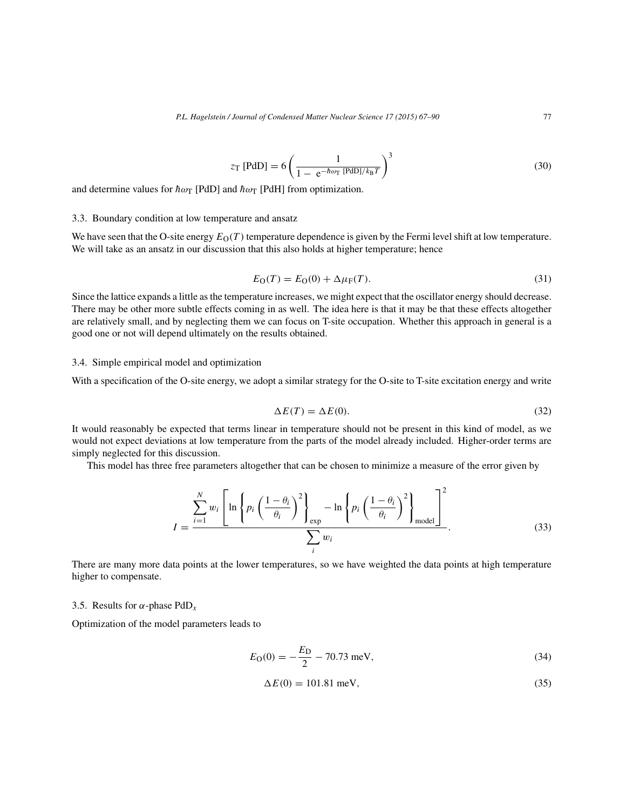$$
z_{\rm T} \text{ [PdD]} = 6 \left( \frac{1}{1 - e^{-\hbar \omega_{\rm T} \text{ [PdD]}/k_{\rm B}T}} \right)^3 \tag{30}
$$

and determine values for  $\hbar \omega_T$  [PdD] and  $\hbar \omega_T$  [PdH] from optimization.

#### 3.3. Boundary condition at low temperature and ansatz

We have seen that the O-site energy  $E_O(T)$  temperature dependence is given by the Fermi level shift at low temperature. We will take as an ansatz in our discussion that this also holds at higher temperature; hence

$$
E_{\rm O}(T) = E_{\rm O}(0) + \Delta \mu_{\rm F}(T). \tag{31}
$$

Since the lattice expands a little as the temperature increases, we might expect that the oscillator energy should decrease. There may be other more subtle effects coming in as well. The idea here is that it may be that these effects altogether are relatively small, and by neglecting them we can focus on T-site occupation. Whether this approach in general is a good one or not will depend ultimately on the results obtained.

#### 3.4. Simple empirical model and optimization

With a specification of the O-site energy, we adopt a similar strategy for the O-site to T-site excitation energy and write

$$
\Delta E(T) = \Delta E(0). \tag{32}
$$

It would reasonably be expected that terms linear in temperature should not be present in this kind of model, as we would not expect deviations at low temperature from the parts of the model already included. Higher-order terms are simply neglected for this discussion.

This model has three free parameters altogether that can be chosen to minimize a measure of the error given by

$$
I = \frac{\sum_{i=1}^{N} w_i \left[ \ln \left\{ p_i \left( \frac{1 - \theta_i}{\theta_i} \right)^2 \right\}_{exp} - \ln \left\{ p_i \left( \frac{1 - \theta_i}{\theta_i} \right)^2 \right\}_{model}}{\sum_{i} w_i} \tag{33}
$$

There are many more data points at the lower temperatures, so we have weighted the data points at high temperature higher to compensate.

# 3.5. Results for  $\alpha$ -phase PdD<sub>x</sub>

Optimization of the model parameters leads to

$$
E_{\rm O}(0) = -\frac{E_{\rm D}}{2} - 70.73 \text{ meV},\tag{34}
$$

$$
\Delta E(0) = 101.81 \text{ meV},\tag{35}
$$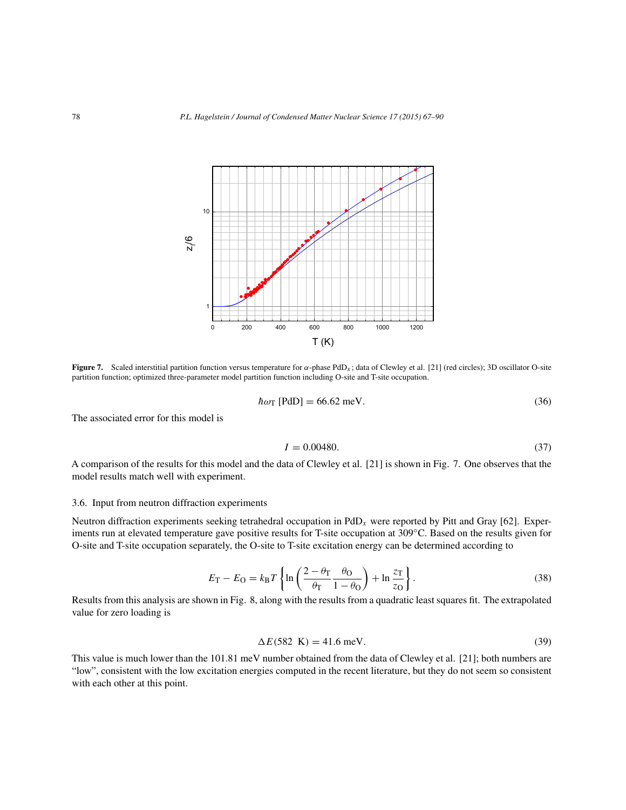

**Figure 7.** Scaled interstitial partition function versus temperature for α-phase PdD<sub>x</sub>; data of Clewley et al. [21] (red circles); 3D oscillator O-site partition function; optimized three-parameter model partition function including O-site and T-site occupation.

$$
\hbar\omega_{\rm T} \text{ [PdD]} = 66.62 \text{ meV.}
$$
\n(36)

The associated error for this model is

$$
I = 0.00480.\t(37)
$$

A comparison of the results for this model and the data of Clewley et al. [21] is shown in Fig. 7. One observes that the model results match well with experiment.

# 3.6. Input from neutron diffraction experiments

Neutron diffraction experiments seeking tetrahedral occupation in  $PdD_x$  were reported by Pitt and Gray [62]. Experiments run at elevated temperature gave positive results for T-site occupation at 309◦C. Based on the results given for O-site and T-site occupation separately, the O-site to T-site excitation energy can be determined according to

$$
E_{\rm T} - E_{\rm O} = k_{\rm B} T \left\{ \ln \left( \frac{2 - \theta_{\rm T}}{\theta_{\rm T}} \frac{\theta_{\rm O}}{1 - \theta_{\rm O}} \right) + \ln \frac{z_{\rm T}}{z_{\rm O}} \right\}.
$$
 (38)

Results from this analysis are shown in Fig. 8, along with the results from a quadratic least squares fit. The extrapolated value for zero loading is

$$
\Delta E(582 \text{ K}) = 41.6 \text{ meV}.\tag{39}
$$

This value is much lower than the 101.81 meV number obtained from the data of Clewley et al. [21]; both numbers are "low", consistent with the low excitation energies computed in the recent literature, but they do not seem so consistent with each other at this point.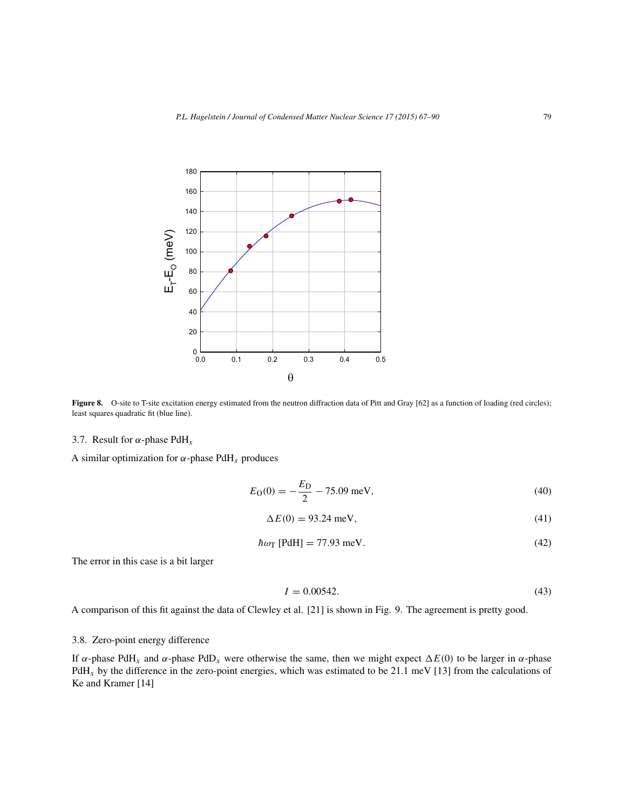

Figure 8. O-site to T-site excitation energy estimated from the neutron diffraction data of Pitt and Gray [62] as a function of loading (red circles); least squares quadratic fit (blue line).

# 3.7. Result for  $\alpha$ -phase PdH<sub>x</sub>

A similar optimization for  $\alpha$ -phase PdH<sub>x</sub> produces

$$
E_{\rm O}(0) = -\frac{E_{\rm D}}{2} - 75.09 \text{ meV},\tag{40}
$$

$$
\Delta E(0) = 93.24 \text{ meV},\tag{41}
$$

$$
\hbar\omega_{\rm T}\,\text{[PdH]} = 77.93\,\text{meV}.\tag{42}
$$

The error in this case is a bit larger

$$
I = 0.00542.\t(43)
$$

A comparison of this fit against the data of Clewley et al. [21] is shown in Fig. 9. The agreement is pretty good.

# 3.8. Zero-point energy difference

If α-phase PdH<sub>x</sub> and α-phase PdD<sub>x</sub> were otherwise the same, then we might expect  $\Delta E(0)$  to be larger in α-phase  $PdH_x$  by the difference in the zero-point energies, which was estimated to be 21.1 meV [13] from the calculations of Ke and Kramer [14]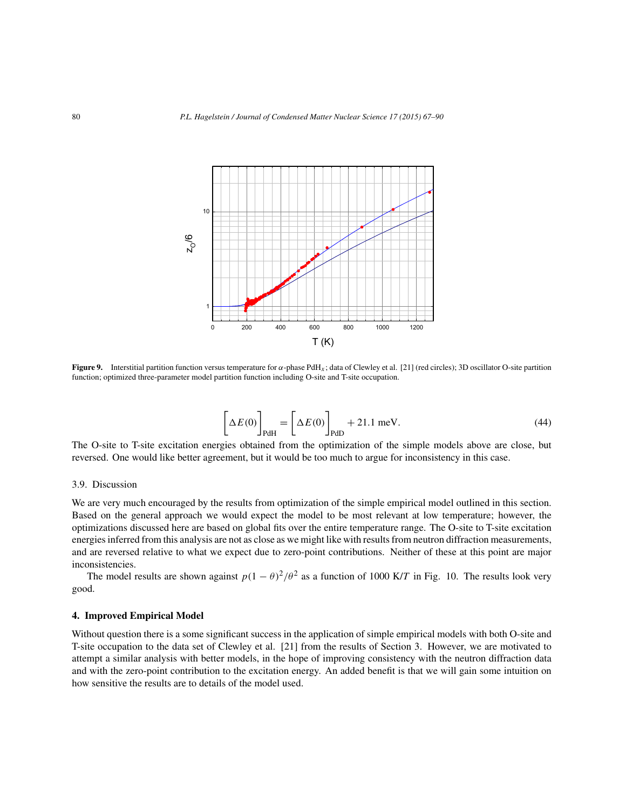

**Figure 9.** Interstitial partition function versus temperature for  $\alpha$ -phase PdH<sub>x</sub>; data of Clewley et al. [21] (red circles); 3D oscillator O-site partition function; optimized three-parameter model partition function including O-site and T-site occupation.

$$
\[\Delta E(0)\]_{\text{PdH}} = \[\Delta E(0)\]_{\text{PdD}} + 21.1 \text{ meV}.\tag{44}
$$

The O-site to T-site excitation energies obtained from the optimization of the simple models above are close, but reversed. One would like better agreement, but it would be too much to argue for inconsistency in this case.

## 3.9. Discussion

We are very much encouraged by the results from optimization of the simple empirical model outlined in this section. Based on the general approach we would expect the model to be most relevant at low temperature; however, the optimizations discussed here are based on global fits over the entire temperature range. The O-site to T-site excitation energies inferred from this analysis are not as close as we might like with results from neutron diffraction measurements, and are reversed relative to what we expect due to zero-point contributions. Neither of these at this point are major inconsistencies.

The model results are shown against  $p(1 - \theta)^2/\theta^2$  as a function of 1000 K/T in Fig. 10. The results look very good.

#### **4. Improved Empirical Model**

Without question there is a some significant success in the application of simple empirical models with both O-site and T-site occupation to the data set of Clewley et al. [21] from the results of Section 3. However, we are motivated to attempt a similar analysis with better models, in the hope of improving consistency with the neutron diffraction data and with the zero-point contribution to the excitation energy. An added benefit is that we will gain some intuition on how sensitive the results are to details of the model used.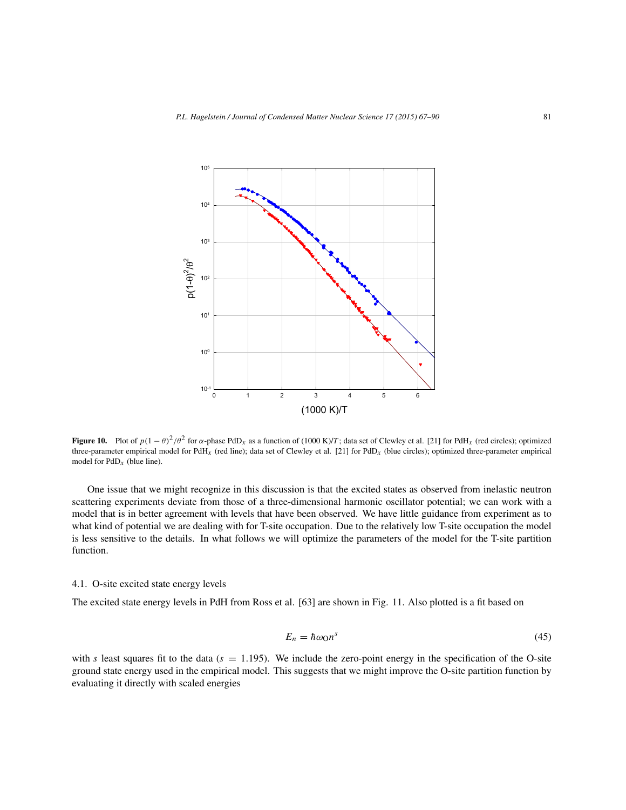

**Figure 10.** Plot of  $p(1 - \theta)^2/\theta^2$  for  $\alpha$ -phase PdD<sub>x</sub> as a function of (1000 K)/T; data set of Clewley et al. [21] for PdH<sub>x</sub> (red circles); optimized three-parameter empirical model for PdH<sub>x</sub> (red line); data set of Clewley et al. [21] for PdD<sub>x</sub> (blue circles); optimized three-parameter empirical model for  $PdD<sub>x</sub>$  (blue line).

One issue that we might recognize in this discussion is that the excited states as observed from inelastic neutron scattering experiments deviate from those of a three-dimensional harmonic oscillator potential; we can work with a model that is in better agreement with levels that have been observed. We have little guidance from experiment as to what kind of potential we are dealing with for T-site occupation. Due to the relatively low T-site occupation the model is less sensitive to the details. In what follows we will optimize the parameters of the model for the T-site partition function.

# 4.1. O-site excited state energy levels

The excited state energy levels in PdH from Ross et al. [63] are shown in Fig. 11. Also plotted is a fit based on

$$
E_n = \hbar \omega_0 n^s \tag{45}
$$

with s least squares fit to the data ( $s = 1.195$ ). We include the zero-point energy in the specification of the O-site ground state energy used in the empirical model. This suggests that we might improve the O-site partition function by evaluating it directly with scaled energies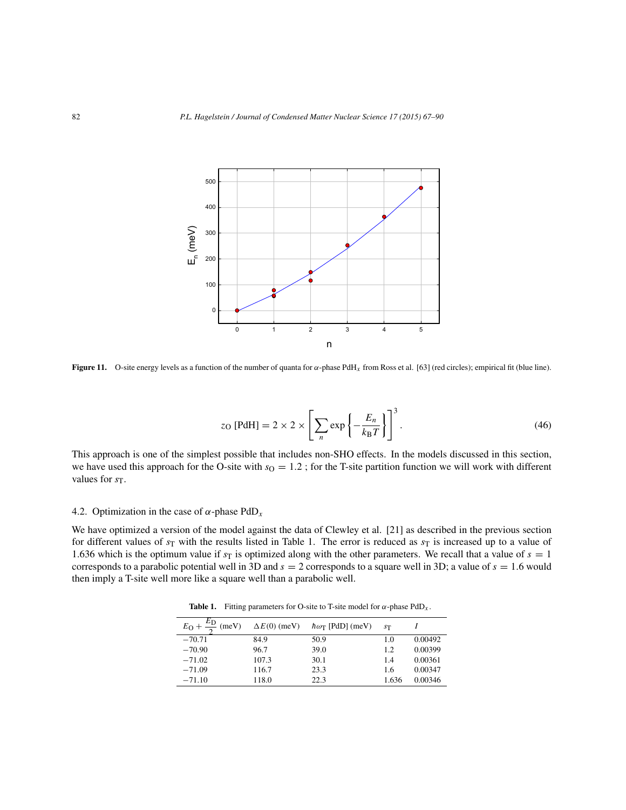

**Figure 11.** O-site energy levels as a function of the number of quanta for α-phase PdHx from Ross et al. [63] (red circles); empirical fit (blue line).

$$
z_{\rm O} \text{ [PdH]} = 2 \times 2 \times \left[ \sum_{n} \exp \left\{ -\frac{E_n}{k_{\rm B}T} \right\} \right]^3. \tag{46}
$$

This approach is one of the simplest possible that includes non-SHO effects. In the models discussed in this section, we have used this approach for the O-site with  $s_0 = 1.2$ ; for the T-site partition function we will work with different values for  $s_T$ .

# 4.2. Optimization in the case of  $\alpha$ -phase PdD<sub>x</sub>

We have optimized a version of the model against the data of Clewley et al. [21] as described in the previous section for different values of  $s_T$  with the results listed in Table 1. The error is reduced as  $s_T$  is increased up to a value of 1.636 which is the optimum value if  $s_T$  is optimized along with the other parameters. We recall that a value of  $s = 1$ corresponds to a parabolic potential well in 3D and  $s = 2$  corresponds to a square well in 3D; a value of  $s = 1.6$  would then imply a T-site well more like a square well than a parabolic well.

**Table 1.** Fitting parameters for O-site to T-site model for  $\alpha$ -phase PdD<sub>x</sub>.

| $E_{\rm O} + \frac{E_{\rm D}}{2}$<br>(meV) | $\Delta E(0)$ (meV) | $\hbar\omega_{\rm T}$ [PdD] (meV) | S <sub>T</sub> |         |
|--------------------------------------------|---------------------|-----------------------------------|----------------|---------|
| $-70.71$                                   | 84.9                | 50.9                              | 1.0            | 0.00492 |
| $-70.90$                                   | 96.7                | 39.0                              | 1.2            | 0.00399 |
| $-71.02$                                   | 107.3               | 30.1                              | 14             | 0.00361 |
| $-71.09$                                   | 116.7               | 23.3                              | 1.6            | 0.00347 |
| $-71.10$                                   | 118.0               | 22.3                              | 1.636          | 0.00346 |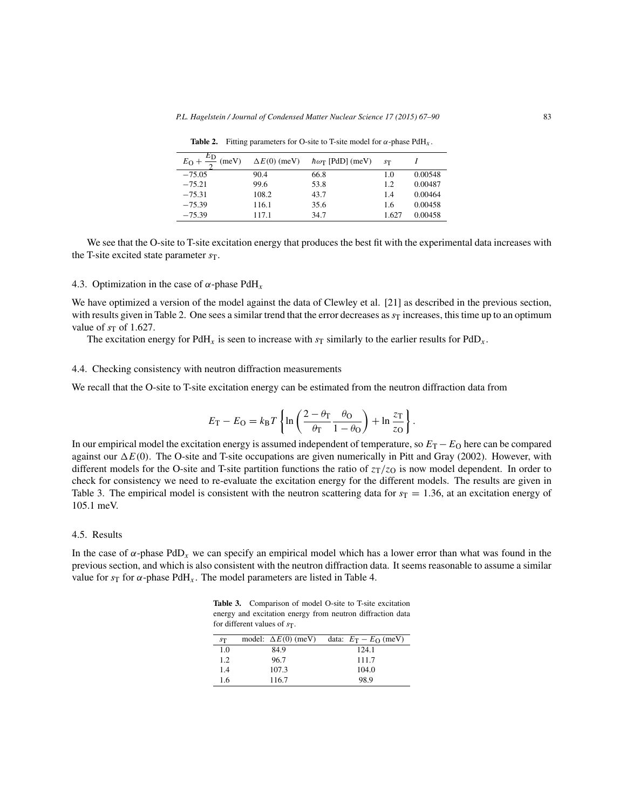| ΕD<br>$E_O +$<br>(meV) | $\Delta E(0)$ (meV) | $\hbar\omega_{\rm T}$ [PdD] (meV) | S <sub>T</sub> |         |
|------------------------|---------------------|-----------------------------------|----------------|---------|
| $-75.05$               | 90.4                | 66.8                              | 1.0            | 0.00548 |
| $-75.21$               | 99.6                | 53.8                              | 1.2            | 0.00487 |
| $-75.31$               | 108.2               | 43.7                              | 1.4            | 0.00464 |
| $-75.39$               | 116.1               | 35.6                              | 1.6            | 0.00458 |
| $-75.39$               | 117.1               | 34.7                              | 1.627          | 0.00458 |

**Table 2.** Fitting parameters for O-site to T-site model for  $\alpha$ -phase PdH<sub>x</sub>.

We see that the O-site to T-site excitation energy that produces the best fit with the experimental data increases with the T-site excited state parameter  $s_T$ .

### 4.3. Optimization in the case of  $\alpha$ -phase PdH<sub>x</sub>

We have optimized a version of the model against the data of Clewley et al. [21] as described in the previous section, with results given in Table 2. One sees a similar trend that the error decreases as  $s_T$  increases, this time up to an optimum value of  $s_T$  of 1.627.

The excitation energy for PdH<sub>x</sub> is seen to increase with  $s_T$  similarly to the earlier results for PdD<sub>x</sub>.

#### 4.4. Checking consistency with neutron diffraction measurements

We recall that the O-site to T-site excitation energy can be estimated from the neutron diffraction data from

$$
E_{\rm T} - E_{\rm O} = k_{\rm B} T \left\{ \ln \left( \frac{2 - \theta_{\rm T}}{\theta_{\rm T}} \frac{\theta_{\rm O}}{1 - \theta_{\rm O}} \right) + \ln \frac{z_{\rm T}}{z_{\rm O}} \right\}.
$$

In our empirical model the excitation energy is assumed independent of temperature, so  $E_T - E_O$  here can be compared against our  $\Delta E(0)$ . The O-site and T-site occupations are given numerically in Pitt and Gray (2002). However, with different models for the O-site and T-site partition functions the ratio of  $z_T/z_O$  is now model dependent. In order to check for consistency we need to re-evaluate the excitation energy for the different models. The results are given in Table 3. The empirical model is consistent with the neutron scattering data for  $s_T = 1.36$ , at an excitation energy of 105.1 meV.

## 4.5. Results

In the case of  $\alpha$ -phase PdD<sub>x</sub> we can specify an empirical model which has a lower error than what was found in the previous section, and which is also consistent with the neutron diffraction data. It seems reasonable to assume a similar value for  $s_T$  for  $\alpha$ -phase PdH<sub>x</sub>. The model parameters are listed in Table 4.

Table 3. Comparison of model O-site to T-site excitation energy and excitation energy from neutron diffraction data for different values of  $s_T$ .

| ST  | model: $\Delta E(0)$ (meV) | data: $E_T - E_O$ (meV) |
|-----|----------------------------|-------------------------|
| 1.0 | 84.9                       | 124.1                   |
| 1.2 | 96.7                       | 111.7                   |
| 1.4 | 107.3                      | 104.0                   |
| 1.6 | 116.7                      | 98.9                    |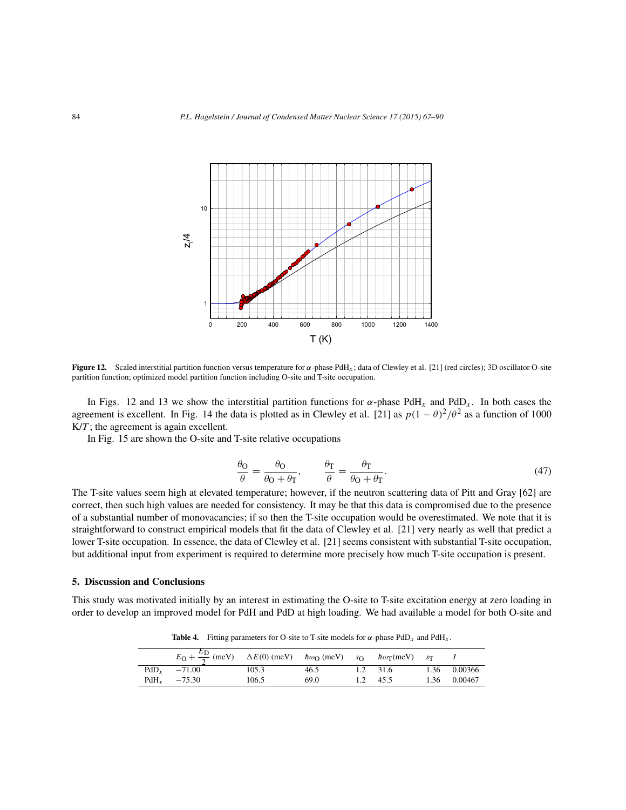

**Figure 12.** Scaled interstitial partition function versus temperature for  $\alpha$ -phase PdH<sub>x</sub>; data of Clewley et al. [21] (red circles); 3D oscillator O-site partition function; optimized model partition function including O-site and T-site occupation.

In Figs. 12 and 13 we show the interstitial partition functions for  $\alpha$ -phase PdH<sub>x</sub> and PdD<sub>x</sub>. In both cases the agreement is excellent. In Fig. 14 the data is plotted as in Clewley et al. [21] as  $p(1 - \theta)^2/\theta^2$  as a function of 1000  $K/T$ ; the agreement is again excellent.

In Fig. 15 are shown the O-site and T-site relative occupations

$$
\frac{\theta_{\rm O}}{\theta} = \frac{\theta_{\rm O}}{\theta_{\rm O} + \theta_{\rm T}}, \qquad \frac{\theta_{\rm T}}{\theta} = \frac{\theta_{\rm T}}{\theta_{\rm O} + \theta_{\rm T}}.
$$
\n(47)

The T-site values seem high at elevated temperature; however, if the neutron scattering data of Pitt and Gray [62] are correct, then such high values are needed for consistency. It may be that this data is compromised due to the presence of a substantial number of monovacancies; if so then the T-site occupation would be overestimated. We note that it is straightforward to construct empirical models that fit the data of Clewley et al. [21] very nearly as well that predict a lower T-site occupation. In essence, the data of Clewley et al. [21] seems consistent with substantial T-site occupation, but additional input from experiment is required to determine more precisely how much T-site occupation is present.

#### **5. Discussion and Conclusions**

This study was motivated initially by an interest in estimating the O-site to T-site excitation energy at zero loading in order to develop an improved model for PdH and PdD at high loading. We had available a model for both O-site and

**Table 4.** Fitting parameters for O-site to T-site models for  $\alpha$ -phase PdD<sub>x</sub> and PdH<sub>x</sub>.

| $E_{\rm O} + \frac{E_{\rm D}}{2}$ (meV) $\Delta E(0)$ (meV) $\hbar \omega_{\rm O}$ (meV) $s_{\rm O}$ $\hbar \omega_{\rm T}$ (meV) $s_{\rm T}$ |       |      |          |              |
|-----------------------------------------------------------------------------------------------------------------------------------------------|-------|------|----------|--------------|
| $PdD_r = -71.00$                                                                                                                              | 105.3 | 46.5 | 1.2 31.6 | 1.36 0.00366 |
| $PdH_v$ -75.30                                                                                                                                | 106.5 | 69.0 | 1.2 45.5 | 1.36 0.00467 |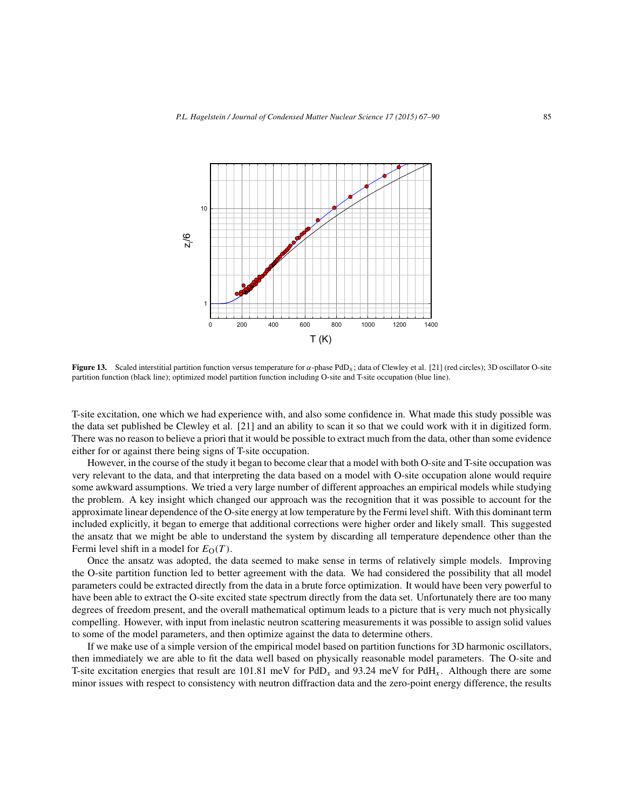

**Figure 13.** Scaled interstitial partition function versus temperature for  $\alpha$ -phase PdD<sub>x</sub>; data of Clewley et al. [21] (red circles); 3D oscillator O-site partition function (black line); optimized model partition function including O-site and T-site occupation (blue line).

T-site excitation, one which we had experience with, and also some confidence in. What made this study possible was the data set published be Clewley et al. [21] and an ability to scan it so that we could work with it in digitized form. There was no reason to believe a priori that it would be possible to extract much from the data, other than some evidence either for or against there being signs of T-site occupation.

However, in the course of the study it began to become clear that a model with both O-site and T-site occupation was very relevant to the data, and that interpreting the data based on a model with O-site occupation alone would require some awkward assumptions. We tried a very large number of different approaches an empirical models while studying the problem. A key insight which changed our approach was the recognition that it was possible to account for the approximate linear dependence of the O-site energy at low temperature by the Fermi level shift. With this dominant term included explicitly, it began to emerge that additional corrections were higher order and likely small. This suggested the ansatz that we might be able to understand the system by discarding all temperature dependence other than the Fermi level shift in a model for  $E_{\Omega}(T)$ .

Once the ansatz was adopted, the data seemed to make sense in terms of relatively simple models. Improving the O-site partition function led to better agreement with the data. We had considered the possibility that all model parameters could be extracted directly from the data in a brute force optimization. It would have been very powerful to have been able to extract the O-site excited state spectrum directly from the data set. Unfortunately there are too many degrees of freedom present, and the overall mathematical optimum leads to a picture that is very much not physically compelling. However, with input from inelastic neutron scattering measurements it was possible to assign solid values to some of the model parameters, and then optimize against the data to determine others.

If we make use of a simple version of the empirical model based on partition functions for 3D harmonic oscillators, then immediately we are able to fit the data well based on physically reasonable model parameters. The O-site and T-site excitation energies that result are 101.81 meV for PdD<sub>x</sub> and 93.24 meV for PdH<sub>x</sub>. Although there are some minor issues with respect to consistency with neutron diffraction data and the zero-point energy difference, the results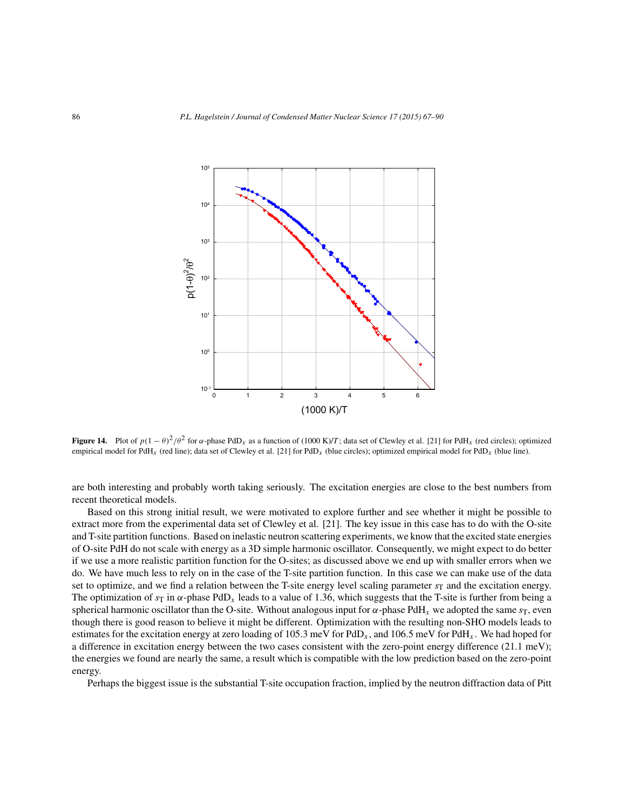

**Figure 14.** Plot of  $p(1 - \theta)^2/\theta^2$  for  $\alpha$ -phase PdD<sub>x</sub> as a function of (1000 K)/T; data set of Clewley et al. [21] for PdH<sub>x</sub> (red circles); optimized empirical model for PdH<sub>x</sub> (red line); data set of Clewley et al. [21] for PdD<sub>x</sub> (blue circles); optimized empirical model for PdD<sub>x</sub> (blue line).

are both interesting and probably worth taking seriously. The excitation energies are close to the best numbers from recent theoretical models.

Based on this strong initial result, we were motivated to explore further and see whether it might be possible to extract more from the experimental data set of Clewley et al. [21]. The key issue in this case has to do with the O-site and T-site partition functions. Based on inelastic neutron scattering experiments, we know that the excited state energies of O-site PdH do not scale with energy as a 3D simple harmonic oscillator. Consequently, we might expect to do better if we use a more realistic partition function for the O-sites; as discussed above we end up with smaller errors when we do. We have much less to rely on in the case of the T-site partition function. In this case we can make use of the data set to optimize, and we find a relation between the T-site energy level scaling parameter  $s_T$  and the excitation energy. The optimization of  $s_T$  in  $\alpha$ -phase PdD<sub>x</sub> leads to a value of 1.36, which suggests that the T-site is further from being a spherical harmonic oscillator than the O-site. Without analogous input for  $\alpha$ -phase PdH<sub>x</sub> we adopted the same  $s_T$ , even though there is good reason to believe it might be different. Optimization with the resulting non-SHO models leads to estimates for the excitation energy at zero loading of 105.3 meV for PdD<sub>x</sub>, and 106.5 meV for PdH<sub>x</sub>. We had hoped for a difference in excitation energy between the two cases consistent with the zero-point energy difference (21.1 meV); the energies we found are nearly the same, a result which is compatible with the low prediction based on the zero-point energy.

Perhaps the biggest issue is the substantial T-site occupation fraction, implied by the neutron diffraction data of Pitt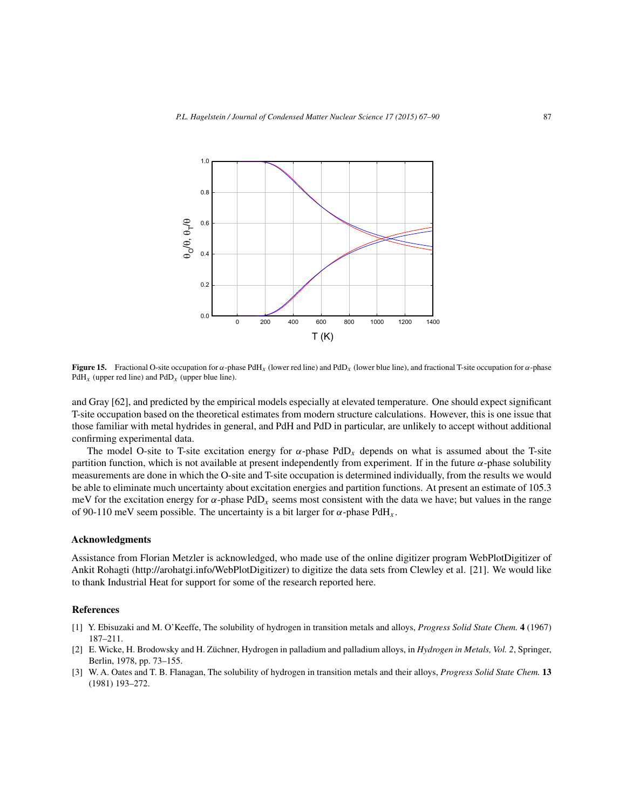

**Figure 15.** Fractional O-site occupation for  $\alpha$ -phase PdH<sub>x</sub> (lower red line) and PdD<sub>x</sub> (lower blue line), and fractional T-site occupation for  $\alpha$ -phase  $PdH<sub>x</sub>$  (upper red line) and  $PdD<sub>x</sub>$  (upper blue line).

and Gray [62], and predicted by the empirical models especially at elevated temperature. One should expect significant T-site occupation based on the theoretical estimates from modern structure calculations. However, this is one issue that those familiar with metal hydrides in general, and PdH and PdD in particular, are unlikely to accept without additional confirming experimental data.

The model O-site to T-site excitation energy for  $\alpha$ -phase PdD<sub>x</sub> depends on what is assumed about the T-site partition function, which is not available at present independently from experiment. If in the future  $\alpha$ -phase solubility measurements are done in which the O-site and T-site occupation is determined individually, from the results we would be able to eliminate much uncertainty about excitation energies and partition functions. At present an estimate of 105.3 meV for the excitation energy for  $\alpha$ -phase PdD<sub>x</sub> seems most consistent with the data we have; but values in the range of 90-110 meV seem possible. The uncertainty is a bit larger for  $\alpha$ -phase PdH<sub>x</sub>.

#### **Acknowledgments**

Assistance from Florian Metzler is acknowledged, who made use of the online digitizer program WebPlotDigitizer of Ankit Rohagti (http://arohatgi.info/WebPlotDigitizer) to digitize the data sets from Clewley et al. [21]. We would like to thank Industrial Heat for support for some of the research reported here.

#### **References**

- [1] Y. Ebisuzaki and M. O'Keeffe, The solubility of hydrogen in transition metals and alloys, *Progress Solid State Chem.* **4** (1967) 187–211.
- [2] E. Wicke, H. Brodowsky and H. Züchner, Hydrogen in palladium and palladium alloys, in *Hydrogen in Metals, Vol. 2*, Springer, Berlin, 1978, pp. 73–155.
- [3] W. A. Oates and T. B. Flanagan, The solubility of hydrogen in transition metals and their alloys, *Progress Solid State Chem.* **13** (1981) 193–272.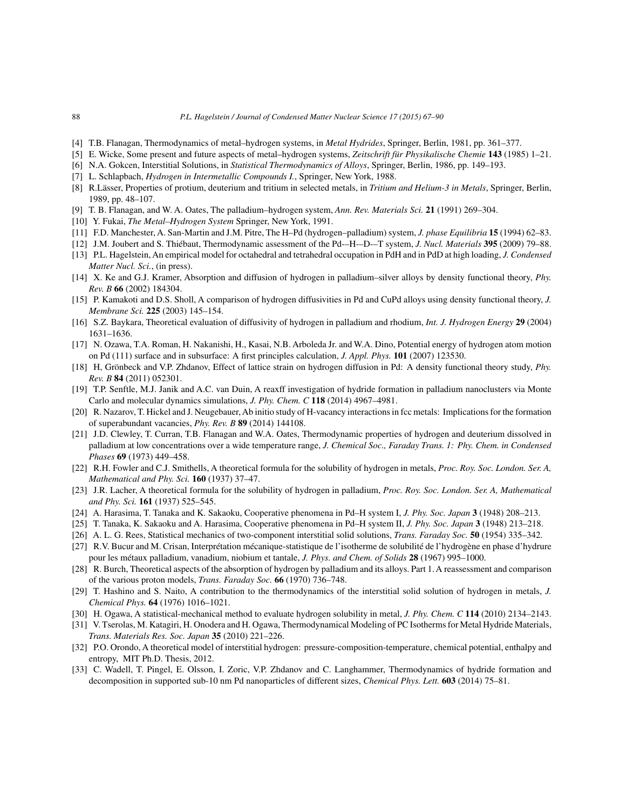- [4] T.B. Flanagan, Thermodynamics of metal–hydrogen systems, in *Metal Hydrides*, Springer, Berlin, 1981, pp. 361–377.
- [5] E. Wicke, Some present and future aspects of metal–hydrogen systems, *Zeitschrift für Physikalische Chemie* **143** (1985) 1–21.
- [6] N.A. Gokcen, Interstitial Solutions, in *Statistical Thermodynamics of Alloys*, Springer, Berlin, 1986, pp. 149–193.
- [7] L. Schlapbach, *Hydrogen in Intermetallic Compounds I.*, Springer, New York, 1988.
- [8] R.Lässer, Properties of protium, deuterium and tritium in selected metals, in *Tritium and Helium-3 in Metals*, Springer, Berlin, 1989, pp. 48–107.
- [9] T. B. Flanagan, and W. A. Oates, The palladium–hydrogen system, *Ann. Rev. Materials Sci.* **21** (1991) 269–304.
- [10] Y. Fukai, *The Metal–Hydrogen System* Springer, New York, 1991.
- [11] F.D. Manchester, A. San-Martin and J.M. Pitre, The H–Pd (hydrogen–palladium) system, *J. phase Equilibria* **15** (1994) 62–83.
- [12] J.M. Joubert and S. Thiébaut, Thermodynamic assessment of the Pd-–H-–D-–T system, *J. Nucl. Materials* **395** (2009) 79–88.
- [13] P.L. Hagelstein, An empirical model for octahedral and tetrahedral occupation in PdH and in PdD at high loading, *J. Condensed Matter Nucl. Sci.*, (in press).
- [14] X. Ke and G.J. Kramer, Absorption and diffusion of hydrogen in palladium–silver alloys by density functional theory, *Phy. Rev. B* **66** (2002) 184304.
- [15] P. Kamakoti and D.S. Sholl, A comparison of hydrogen diffusivities in Pd and CuPd alloys using density functional theory, *J. Membrane Sci.* **225** (2003) 145–154.
- [16] S.Z. Baykara, Theoretical evaluation of diffusivity of hydrogen in palladium and rhodium, *Int. J. Hydrogen Energy* **29** (2004) 1631–1636.
- [17] N. Ozawa, T.A. Roman, H. Nakanishi, H., Kasai, N.B. Arboleda Jr. and W.A. Dino, Potential energy of hydrogen atom motion on Pd (111) surface and in subsurface: A first principles calculation, *J. Appl. Phys.* **101** (2007) 123530.
- [18] H, Grönbeck and V.P. Zhdanov, Effect of lattice strain on hydrogen diffusion in Pd: A density functional theory study, *Phy. Rev. B* **84** (2011) 052301.
- [19] T.P. Senftle, M.J. Janik and A.C. van Duin, A reaxff investigation of hydride formation in palladium nanoclusters via Monte Carlo and molecular dynamics simulations, *J. Phy. Chem. C* **118** (2014) 4967–4981.
- [20] R. Nazarov, T. Hickel and J. Neugebauer, Ab initio study of H-vacancy interactions in fcc metals: Implications for the formation of superabundant vacancies, *Phy. Rev. B* **89** (2014) 144108.
- [21] J.D. Clewley, T. Curran, T.B. Flanagan and W.A. Oates, Thermodynamic properties of hydrogen and deuterium dissolved in palladium at low concentrations over a wide temperature range, *J. Chemical Soc., Faraday Trans. 1: Phy. Chem. in Condensed Phases* **69** (1973) 449–458.
- [22] R.H. Fowler and C.J. Smithells, A theoretical formula for the solubility of hydrogen in metals, *Proc. Roy. Soc. London. Ser. A, Mathematical and Phy. Sci.* **160** (1937) 37–47.
- [23] J.R. Lacher, A theoretical formula for the solubility of hydrogen in palladium, *Proc. Roy. Soc. London. Ser. A, Mathematical and Phy. Sci.* **161** (1937) 525–545.
- [24] A. Harasima, T. Tanaka and K. Sakaoku, Cooperative phenomena in Pd–H system I, *J. Phy. Soc. Japan* **3** (1948) 208–213.
- [25] T. Tanaka, K. Sakaoku and A. Harasima, Cooperative phenomena in Pd–H system II, *J. Phy. Soc. Japan* **3** (1948) 213–218.
- [26] A. L. G. Rees, Statistical mechanics of two-component interstitial solid solutions, *Trans. Faraday Soc.* **50** (1954) 335–342.
- [27] R.V. Bucur and M. Crisan, Interprétation mécanique-statistique de l'isotherme de solubilité de l'hydrogène en phase d'hydrure pour les métaux palladium, vanadium, niobium et tantale, *J. Phys. and Chem. of Solids* **28** (1967) 995–1000.
- [28] R. Burch, Theoretical aspects of the absorption of hydrogen by palladium and its alloys. Part 1. A reassessment and comparison of the various proton models, *Trans. Faraday Soc.* **66** (1970) 736–748.
- [29] T. Hashino and S. Naito, A contribution to the thermodynamics of the interstitial solid solution of hydrogen in metals, *J. Chemical Phys.* **64** (1976) 1016–1021.
- [30] H. Ogawa, A statistical-mechanical method to evaluate hydrogen solubility in metal, *J. Phy. Chem. C* **114** (2010) 2134–2143.
- [31] V. Tserolas, M. Katagiri, H. Onodera and H. Ogawa, Thermodynamical Modeling of PC Isotherms for Metal Hydride Materials, *Trans. Materials Res. Soc. Japan* **35** (2010) 221–226.
- [32] P.O. Orondo, A theoretical model of interstitial hydrogen: pressure-composition-temperature, chemical potential, enthalpy and entropy, MIT Ph.D. Thesis, 2012.
- [33] C. Wadell, T. Pingel, E. Olsson, I. Zoric, V.P. Zhdanov and C. Langhammer, Thermodynamics of hydride formation and decomposition in supported sub-10 nm Pd nanoparticles of different sizes, *Chemical Phys. Lett.* **603** (2014) 75–81.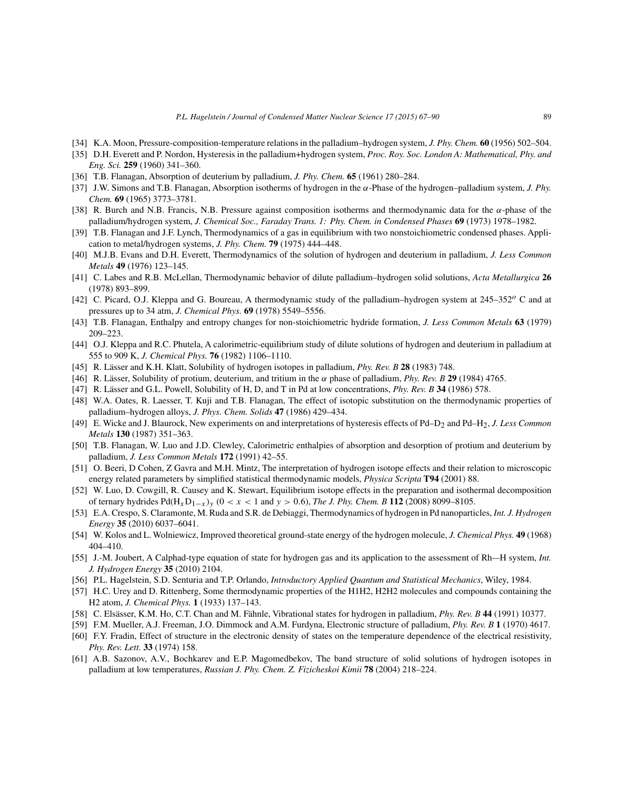- [34] K.A. Moon, Pressure-composition-temperature relations in the palladium–hydrogen system, *J. Phy. Chem.* **60** (1956) 502–504.
- [35] D.H. Everett and P. Nordon, Hysteresis in the palladium+hydrogen system, *Proc. Roy. Soc. London A: Mathematical, Phy. and Eng. Sci.* **259** (1960) 341–360.
- [36] T.B. Flanagan, Absorption of deuterium by palladium, *J. Phy. Chem.* **65** (1961) 280–284.
- [37] J.W. Simons and T.B. Flanagan, Absorption isotherms of hydrogen in the α-Phase of the hydrogen–palladium system, *J. Phy. Chem.* **69** (1965) 3773–3781.
- [38] R. Burch and N.B. Francis, N.B. Pressure against composition isotherms and thermodynamic data for the α-phase of the palladium/hydrogen system, *J. Chemical Soc., Faraday Trans. 1: Phy. Chem. in Condensed Phases* **69** (1973) 1978–1982.
- [39] T.B. Flanagan and J.F. Lynch, Thermodynamics of a gas in equilibrium with two nonstoichiometric condensed phases. Application to metal/hydrogen systems, *J. Phy. Chem.* **79** (1975) 444–448.
- [40] M.J.B. Evans and D.H. Everett, Thermodynamics of the solution of hydrogen and deuterium in palladium, *J. Less Common Metals* **49** (1976) 123–145.
- [41] C. Labes and R.B. McLellan, Thermodynamic behavior of dilute palladium–hydrogen solid solutions, *Acta Metallurgica* **26** (1978) 893–899.
- [42] C. Picard, O.J. Kleppa and G. Boureau, A thermodynamic study of the palladium–hydrogen system at  $245-352^{\circ}$  C and at pressures up to 34 atm, *J. Chemical Phys.* **69** (1978) 5549–5556.
- [43] T.B. Flanagan, Enthalpy and entropy changes for non-stoichiometric hydride formation, *J. Less Common Metals* **63** (1979) 209–223.
- [44] O.J. Kleppa and R.C. Phutela, A calorimetric-equilibrium study of dilute solutions of hydrogen and deuterium in palladium at 555 to 909 K, *J. Chemical Phys.* **76** (1982) 1106–1110.
- [45] R. Lässer and K.H. Klatt, Solubility of hydrogen isotopes in palladium, *Phy. Rev. B* **28** (1983) 748.
- [46] R. Lässer, Solubility of protium, deuterium, and tritium in the α phase of palladium, *Phy. Rev. B* **29** (1984) 4765.
- [47] R. Lässer and G.L. Powell, Solubility of H, D, and T in Pd at low concentrations, *Phy. Rev. B* **34** (1986) 578.
- [48] W.A. Oates, R. Laesser, T. Kuji and T.B. Flanagan, The effect of isotopic substitution on the thermodynamic properties of palladium–hydrogen alloys, *J. Phys. Chem. Solids* **47** (1986) 429–434.
- [49] E. Wicke and J. Blaurock, New experiments on and interpretations of hysteresis effects of Pd–D2 and Pd–H2, *J. Less Common Metals* **130** (1987) 351–363.
- [50] T.B. Flanagan, W. Luo and J.D. Clewley, Calorimetric enthalpies of absorption and desorption of protium and deuterium by palladium, *J. Less Common Metals* **172** (1991) 42–55.
- [51] O. Beeri, D Cohen, Z Gavra and M.H. Mintz, The interpretation of hydrogen isotope effects and their relation to microscopic energy related parameters by simplified statistical thermodynamic models, *Physica Scripta* **T94** (2001) 88.
- [52] W. Luo, D. Cowgill, R. Causey and K. Stewart, Equilibrium isotope effects in the preparation and isothermal decomposition of ternary hydrides Pd(HxD1−<sup>x</sup> )<sup>y</sup> (0 <x< 1 and y > <sup>0</sup>.6), *The J. Phy. Chem. B* **<sup>112</sup>** (2008) 8099–8105.
- [53] E.A. Crespo, S. Claramonte, M. Ruda and S.R. de Debiaggi, Thermodynamics of hydrogen in Pd nanoparticles, *Int. J. Hydrogen Energy* **35** (2010) 6037–6041.
- [54] W. Kolos and L. Wolniewicz, Improved theoretical ground-state energy of the hydrogen molecule, *J. Chemical Phys.* **49** (1968) 404–410.
- [55] J.-M. Joubert, A Calphad-type equation of state for hydrogen gas and its application to the assessment of Rh-–H system, *Int. J. Hydrogen Energy* **35** (2010) 2104.
- [56] P.L. Hagelstein, S.D. Senturia and T.P. Orlando, *Introductory Applied Quantum and Statistical Mechanics*, Wiley, 1984.
- [57] H.C. Urey and D. Rittenberg, Some thermodynamic properties of the H1H2, H2H2 molecules and compounds containing the H2 atom, *J. Chemical Phys.* **1** (1933) 137–143.
- [58] C. Elsässer, K.M. Ho, C.T. Chan and M. Fähnle, Vibrational states for hydrogen in palladium, *Phy. Rev. B* **44** (1991) 10377.
- [59] F.M. Mueller, A.J. Freeman, J.O. Dimmock and A.M. Furdyna, Electronic structure of palladium, *Phy. Rev. B* **1** (1970) 4617.
- [60] F.Y. Fradin, Effect of structure in the electronic density of states on the temperature dependence of the electrical resistivity, *Phy. Rev. Lett.* **33** (1974) 158.
- [61] A.B. Sazonov, A.V., Bochkarev and E.P. Magomedbekov, The band structure of solid solutions of hydrogen isotopes in palladium at low temperatures, *Russian J. Phy. Chem. Z. Fizicheskoi Kimii* **78** (2004) 218–224.